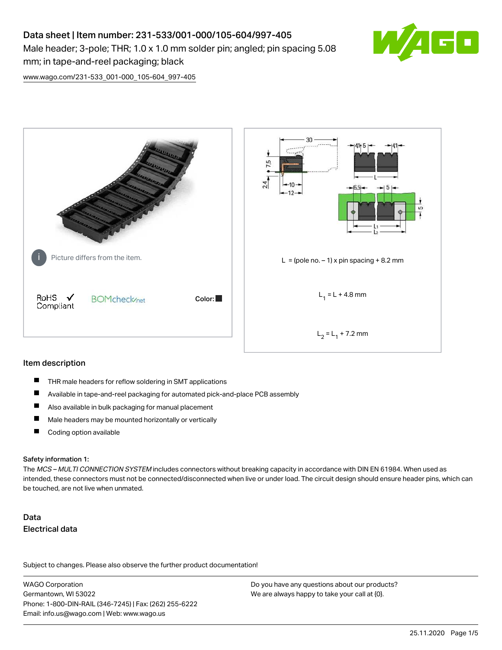# Data sheet | Item number: 231-533/001-000/105-604/997-405 Male header; 3-pole; THR; 1.0 x 1.0 mm solder pin; angled; pin spacing 5.08 mm; in tape-and-reel packaging; black



[www.wago.com/231-533\\_001-000\\_105-604\\_997-405](http://www.wago.com/231-533_001-000_105-604_997-405)



#### Item description

- $\blacksquare$ THR male headers for reflow soldering in SMT applications
- $\blacksquare$ Available in tape-and-reel packaging for automated pick-and-place PCB assembly
- $\blacksquare$ Also available in bulk packaging for manual placement
- $\blacksquare$ Male headers may be mounted horizontally or vertically
- $\blacksquare$ Coding option available

#### Safety information 1:

The MCS - MULTI CONNECTION SYSTEM includes connectors without breaking capacity in accordance with DIN EN 61984. When used as intended, these connectors must not be connected/disconnected when live or under load. The circuit design should ensure header pins, which can be touched, are not live when unmated.

# Data Electrical data

Subject to changes. Please also observe the further product documentation!

WAGO Corporation Germantown, WI 53022 Phone: 1-800-DIN-RAIL (346-7245) | Fax: (262) 255-6222 Email: info.us@wago.com | Web: www.wago.us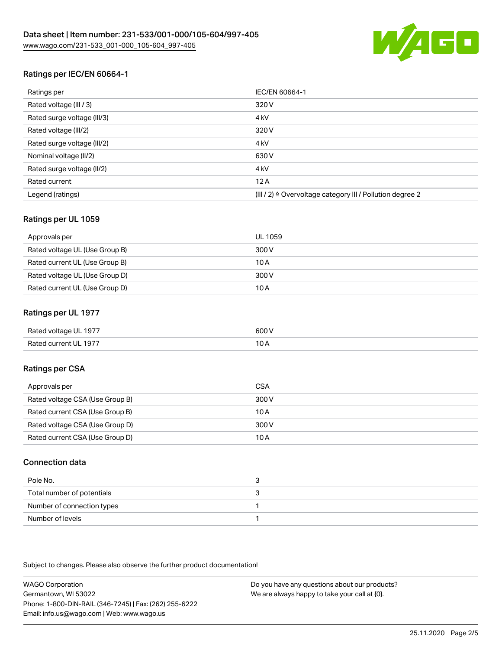

# Ratings per IEC/EN 60664-1

| Ratings per                 | IEC/EN 60664-1                                            |
|-----------------------------|-----------------------------------------------------------|
| Rated voltage (III / 3)     | 320 V                                                     |
| Rated surge voltage (III/3) | 4 <sub>k</sub> V                                          |
| Rated voltage (III/2)       | 320 V                                                     |
| Rated surge voltage (III/2) | 4 <sub>k</sub> V                                          |
| Nominal voltage (II/2)      | 630 V                                                     |
| Rated surge voltage (II/2)  | 4 <sub>k</sub> V                                          |
| Rated current               | 12A                                                       |
| Legend (ratings)            | (III / 2) ≙ Overvoltage category III / Pollution degree 2 |

# Ratings per UL 1059

| Approvals per                  | UL 1059 |
|--------------------------------|---------|
| Rated voltage UL (Use Group B) | 300 V   |
| Rated current UL (Use Group B) | 10 A    |
| Rated voltage UL (Use Group D) | 300 V   |
| Rated current UL (Use Group D) | 10 A    |

## Ratings per UL 1977

| Rated voltage UL 1977 | 600 V |
|-----------------------|-------|
| Rated current UL 1977 | I U A |

# Ratings per CSA

| Approvals per                   | CSA   |
|---------------------------------|-------|
| Rated voltage CSA (Use Group B) | 300 V |
| Rated current CSA (Use Group B) | 10 A  |
| Rated voltage CSA (Use Group D) | 300 V |
| Rated current CSA (Use Group D) | 10 A  |

#### Connection data

| Pole No.                   |  |
|----------------------------|--|
| Total number of potentials |  |
| Number of connection types |  |
| Number of levels           |  |

Subject to changes. Please also observe the further product documentation!

WAGO Corporation Germantown, WI 53022 Phone: 1-800-DIN-RAIL (346-7245) | Fax: (262) 255-6222 Email: info.us@wago.com | Web: www.wago.us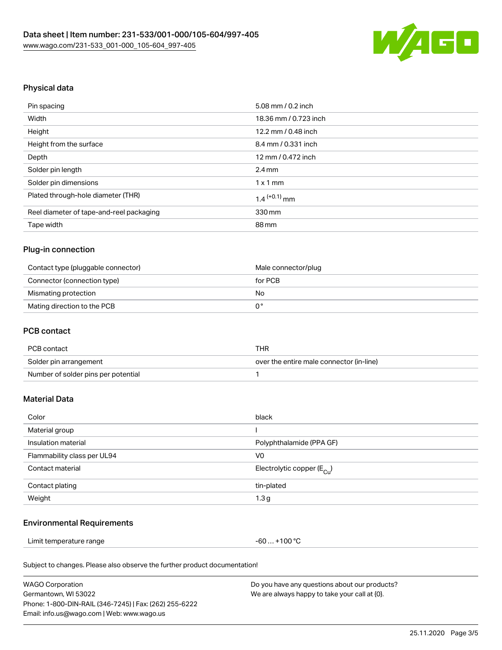

# Physical data

| Pin spacing                              | 5.08 mm / 0.2 inch         |
|------------------------------------------|----------------------------|
| Width                                    | 18.36 mm / 0.723 inch      |
| Height                                   | 12.2 mm / 0.48 inch        |
| Height from the surface                  | 8.4 mm / 0.331 inch        |
| Depth                                    | 12 mm / 0.472 inch         |
| Solder pin length                        | $2.4 \text{ mm}$           |
| Solder pin dimensions                    | $1 \times 1$ mm            |
| Plated through-hole diameter (THR)       | $1.4$ <sup>(+0.1)</sup> mm |
| Reel diameter of tape-and-reel packaging | 330 mm                     |
| Tape width                               | 88 mm                      |

## Plug-in connection

| Contact type (pluggable connector) | Male connector/plug |
|------------------------------------|---------------------|
| Connector (connection type)        | for PCB             |
| Mismating protection               | No                  |
| Mating direction to the PCB        |                     |

# PCB contact

| PCB contact                         | THR                                      |
|-------------------------------------|------------------------------------------|
| Solder pin arrangement              | over the entire male connector (in-line) |
| Number of solder pins per potential |                                          |

# Material Data

| Color                       | black                                   |
|-----------------------------|-----------------------------------------|
| Material group              |                                         |
| Insulation material         | Polyphthalamide (PPA GF)                |
| Flammability class per UL94 | V <sub>0</sub>                          |
| Contact material            | Electrolytic copper ( $E_{\text{Cu}}$ ) |
| Contact plating             | tin-plated                              |
| Weight                      | 1.3 <sub>g</sub>                        |

#### Environmental Requirements

Limit temperature range  $-60... +100$  °C

Subject to changes. Please also observe the further product documentation!

| WAGO Corporation                                       | Do you have any questions about our products? |
|--------------------------------------------------------|-----------------------------------------------|
| Germantown, WI 53022                                   | We are always happy to take your call at {0}. |
| Phone: 1-800-DIN-RAIL (346-7245)   Fax: (262) 255-6222 |                                               |
| Email: info.us@wago.com   Web: www.wago.us             |                                               |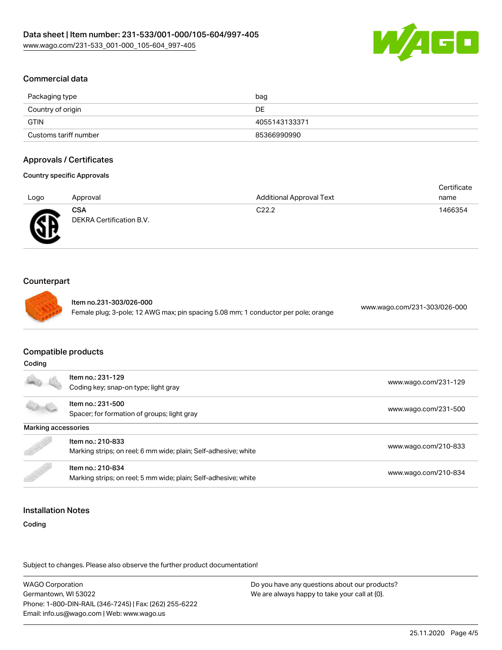

## Commercial data

| Packaging type        | bag           |
|-----------------------|---------------|
| Country of origin     | DE            |
| GTIN                  | 4055143133371 |
| Customs tariff number | 85366990990   |

#### Approvals / Certificates

#### Country specific Approvals

|        |                          |                                 | Certificate |
|--------|--------------------------|---------------------------------|-------------|
| Logo   | Approval                 | <b>Additional Approval Text</b> | name        |
|        | <b>CSA</b>               | C22.2                           | 1466354     |
| Æ<br>. | DEKRA Certification B.V. |                                 |             |

#### Counterpart

w

Item no.231-303/026-000 Female plug; 3-pole; 12 AWG max; pin spacing 5.08 mm; 1 conductor per pole; orange [www.wago.com/231-303/026-000](https://www.wago.com/231-303/026-000)

## Compatible products

|                     | Item no.: 231-129                                               |                      |  |
|---------------------|-----------------------------------------------------------------|----------------------|--|
|                     | Coding key; snap-on type; light gray                            | www.wago.com/231-129 |  |
|                     | Item no.: 231-500                                               |                      |  |
|                     | Spacer; for formation of groups; light gray                     | www.wago.com/231-500 |  |
| Marking accessories |                                                                 |                      |  |
| Item no.: 210-833   |                                                                 |                      |  |
|                     | Marking strips; on reel; 6 mm wide; plain; Self-adhesive; white | www.wago.com/210-833 |  |
|                     | Item no.: 210-834                                               | www.wago.com/210-834 |  |
|                     | Marking strips; on reel; 5 mm wide; plain; Self-adhesive; white |                      |  |

#### Installation Notes

Coding

Subject to changes. Please also observe the further product documentation!

WAGO Corporation Germantown, WI 53022 Phone: 1-800-DIN-RAIL (346-7245) | Fax: (262) 255-6222 Email: info.us@wago.com | Web: www.wago.us